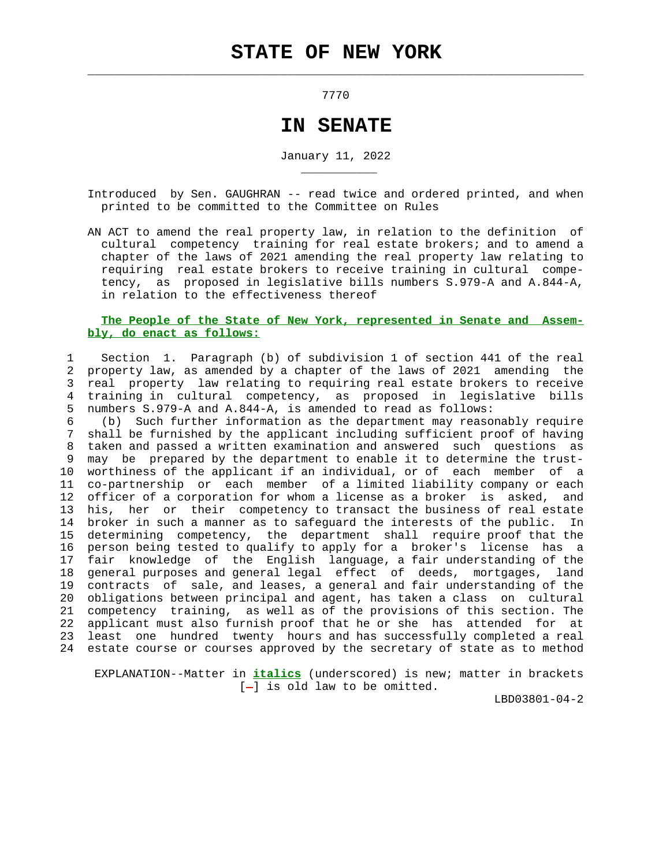$\mathcal{L}_\text{max} = \frac{1}{2} \sum_{i=1}^{n} \frac{1}{2} \sum_{i=1}^{n} \frac{1}{2} \sum_{i=1}^{n} \frac{1}{2} \sum_{i=1}^{n} \frac{1}{2} \sum_{i=1}^{n} \frac{1}{2} \sum_{i=1}^{n} \frac{1}{2} \sum_{i=1}^{n} \frac{1}{2} \sum_{i=1}^{n} \frac{1}{2} \sum_{i=1}^{n} \frac{1}{2} \sum_{i=1}^{n} \frac{1}{2} \sum_{i=1}^{n} \frac{1}{2} \sum_{i=1}^{n} \frac{1$ 

\_\_\_\_\_\_\_\_\_\_\_

7770

## **IN SENATE**

January 11, 2022

 Introduced by Sen. GAUGHRAN -- read twice and ordered printed, and when printed to be committed to the Committee on Rules

 AN ACT to amend the real property law, in relation to the definition of cultural competency training for real estate brokers; and to amend a chapter of the laws of 2021 amending the real property law relating to requiring real estate brokers to receive training in cultural compe tency, as proposed in legislative bills numbers S.979-A and A.844-A, in relation to the effectiveness thereof

## **The People of the State of New York, represented in Senate and Assem bly, do enact as follows:**

 1 Section 1. Paragraph (b) of subdivision 1 of section 441 of the real 2 property law, as amended by a chapter of the laws of 2021 amending the 3 real property law relating to requiring real estate brokers to receive 4 training in cultural competency, as proposed in legislative bills 5 numbers S.979-A and A.844-A, is amended to read as follows:

 6 (b) Such further information as the department may reasonably require 7 shall be furnished by the applicant including sufficient proof of having 8 taken and passed a written examination and answered such questions as 9 may be prepared by the department to enable it to determine the trust- 10 worthiness of the applicant if an individual, or of each member of a 11 co-partnership or each member of a limited liability company or each 12 officer of a corporation for whom a license as a broker is asked, and 13 his, her or their competency to transact the business of real estate 14 broker in such a manner as to safeguard the interests of the public. In 15 determining competency, the department shall require proof that the 16 person being tested to qualify to apply for a broker's license has a 17 fair knowledge of the English language, a fair understanding of the 18 general purposes and general legal effect of deeds, mortgages, land 19 contracts of sale, and leases, a general and fair understanding of the 20 obligations between principal and agent, has taken a class on cultural 21 competency training, as well as of the provisions of this section. The 22 applicant must also furnish proof that he or she has attended for at 23 least one hundred twenty hours and has successfully completed a real 24 estate course or courses approved by the secretary of state as to method

 EXPLANATION--Matter in **italics** (underscored) is new; matter in brackets  $[-]$  is old law to be omitted.

LBD03801-04-2